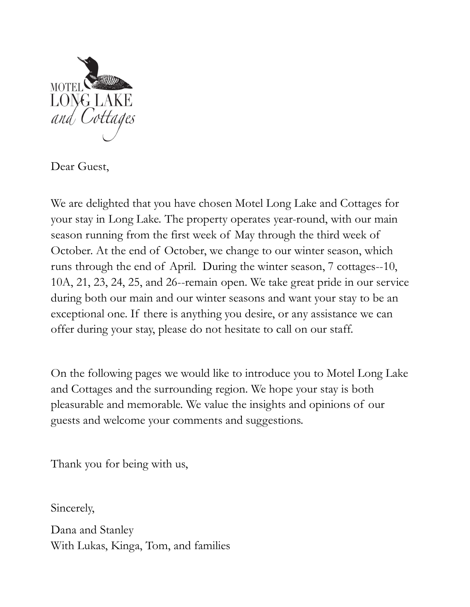

Dear Guest,

We are delighted that you have chosen Motel Long Lake and Cottages for your stay in Long Lake. The property operates year-round, with our main Search Commission running from the first week of May through the first and Cottages for We are delighted that you have chosen Motel Long Lake and Cottages for your stay in Long Lake. The property operates year-round, with MOTEL<br>
MONG LAKE<br>
and Cottages<br>
Dear Guest,<br>
We are delighted that you have chosen Motel Long Lake and Cottages for<br>
your stay in Long Lake. The property operates year-round, with our main<br>
season running from the first we MOTEL<br> **CONG LAKE**<br>
Dear Guest,<br>
We are delighted that you have chosen Motel Long Lake and Cottages for<br>
your stay in Long Lake. The property operates year-round, with our main<br>
season running from the first week of May th 10A, 21, 23, 24, 25, and 26--remain open. We take great pride in our service during both our main and our winter seasons and want your stay to be an Dear Guest,<br>We are delighted that you have chosen Motel Long Lake and Cottages for<br>your stay in Long Lake. The property operates year-round, with our main<br>season running from the first week of May through the third week of offer during your stay, please do not hesitate to call on our staff. your stay in Long Lake. The property operates year-round, with our main<br>season running from the first week of May through the third week of<br>October. At the end of October, we change to our winter season, which<br>runs through

On the following pages we would like to introduce you to Motel Long Lake and Cottages and the surrounding region. We hope your stay is both guests and welcome your comments and suggestions.

Thank you for being with us,

Sincerely,

Dana and Stanley With Lukas, Kinga, Tom, and families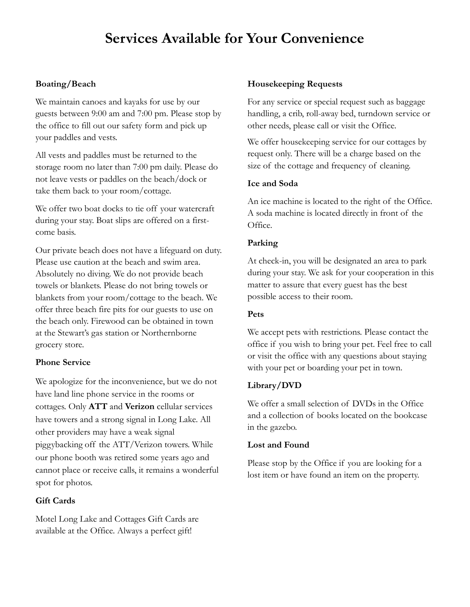# Services Available for Your Convenience

## Boating/Beach

We maintain canoes and kayaks for use by our guests between 9:00 am and 7:00 pm. Please stop by the office to fill out our safety form and pick up your paddles and vests. **Services Available for Your Convenience**<br> **Boating/Beach**<br>
We maintain canoes and kayaks for use by our<br>
For any service or special requests to the as bag<br>
squests between 9:00 am and 7:00 pm. Please stop by<br>
thandling, a

All vests and paddles must be returned to the storage room no later than 7:00 pm daily. Please do size of the cottage and frequency of cleaning. not leave vests or paddles on the beach/dock or take them back to your room/cottage.

during your stay. Boat slips are offered on a firstcome basis.

Our private beach does not have a lifeguard on duty. Please use caution at the beach and swim area. Absolutely no diving. We do not provide beach towels or blankets. Please do not bring towels or blankets from your room/cottage to the beach. We offer three beach fire pits for our guests to use on the beach only. Firewood can be obtained in town at the Stewart's gas station or Northernborne grocery store.

## Phone Service

We apologize for the inconvenience, but we do not have land line phone service in the rooms or cottages. Only **ATT** and **Verizon** cellular services We offer a small selection of DVDs in the Office<br>have terms and a strong signal in Laga Lake All and a collection of books located on the bookcase have towers and a strong signal in Long Lake. All other providers may have a weak signal Please use caution at the beach and swim area. At check-in, you will be desi<br>
Absolutely no diving. We do not provide beach<br>
towels or bankets form your room/cottage do not bring towers of the towels<br>
blankets from your ro our phone booth was retired some years ago and<br>Please stop by the Office if you are looking for a cannot place or receive calls, it remains a wonderful spot for photos.

#### Gift Cards

Motel Long Lake and Cottages Gift Cards are available at the Office. Always a perfect gift!

### Housekeeping Requests

For any service or special request such as baggage handling, a crib, roll-away bed, turndown service or other needs, please call or visit the Office. **Your Convenience**<br>Housekeeping Requests<br>For any service or special request such as baggage<br>handling, a crib, roll-away bed, turndown service or<br>other needs, please call or visit the Office.<br>We offer housekeeping service f

We offer housekeeping service for our cottages by request only. There will be a charge based on the

## Ice and Soda

**Your Convenience**<br>
Housekeeping Requests<br>
For any service or special request such as baggage<br>
handling, a crib, roll-away bed, turndown service or<br>
other needs, please call or visit the Office.<br>
We offer housekeeping serv **Your Convenience**<br>
Housekeeping Requests<br>
For any service or special request such as baggage<br>
handling, a crib, roll-away bed, turndown service or<br>
other needs, please call or visit the Office.<br>
We offer housekeeping serv Office.

## Parking

At check-in, you will be designated an area to park during your stay. We ask for your cooperation in this matter to assure that every guest has the best possible access to their room. is the cottage and frequency of cleaning.<br> **Ice and Soda**<br>
An ice machine is located to the right of the Office.<br>
A soda machine is located directly in front of the<br>
Office.<br> **Parking**<br>
At check-in, you will be designated The Mexican Society and a small selection of the Office.<br> **Parking**<br>
At check-in, you will be designated an area to park<br>
during your stay. We ask for your cooperation in this<br>
matter to assure that every guest has the bes **Parking**<br>
At check-in, you will be designated an area to park<br>
during your stay. We ask for your cooperation in this<br>
matter to assure that every guest has the best<br>
possible access to their room.<br> **Pets**<br>
We accept pets

#### Pets

We accept pets with restrictions. Please contact the or visit the office with any questions about staying with your pet or boarding your pet in town. during your stay. We ask for your cooperation in this<br>matter to assure that every guest has the best<br>possible access to their room.<br>**Pets**<br>We accept pets with restrictions. Please contact the<br>office if you wish to bring yo

## Library/DVD

in the gazebo.

## Lost and Found

lost item or have found an item on the property.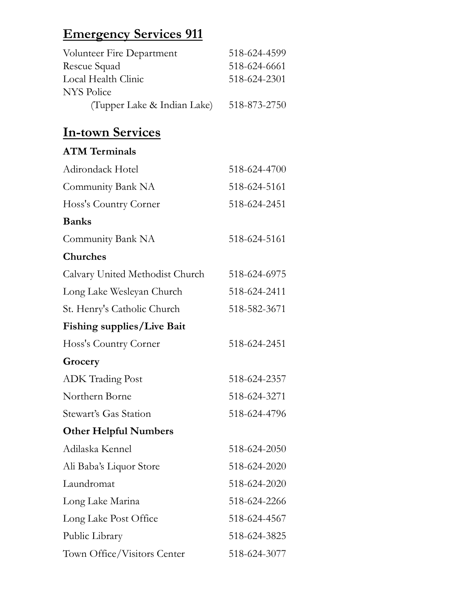| <b>Emergency Services 911</b>             |              |  |
|-------------------------------------------|--------------|--|
|                                           | 518-624-4599 |  |
| Volunteer Fire Department<br>Rescue Squad | 518-624-6661 |  |
| Local Health Clinic                       | 518-624-2301 |  |
| <b>NYS Police</b>                         |              |  |
| (Tupper Lake & Indian Lake)               | 518-873-2750 |  |
| <b>In-town Services</b>                   |              |  |
| <b>ATM Terminals</b>                      |              |  |
| Adirondack Hotel                          | 518-624-4700 |  |
| Community Bank NA                         | 518-624-5161 |  |

# In-town Services

| <u>Emergency Services 911</u>            |              |
|------------------------------------------|--------------|
| Volunteer Fire Department                | 518-624-4599 |
| Rescue Squad                             | 518-624-6661 |
| Local Health Clinic<br><b>NYS Police</b> | 518-624-2301 |
| (Tupper Lake & Indian Lake)              | 518-873-2750 |
| <b>In-town Services</b>                  |              |
| <b>ATM Terminals</b>                     |              |
| Adirondack Hotel                         | 518-624-4700 |
| Community Bank NA                        | 518-624-5161 |
| Hoss's Country Corner                    | 518-624-2451 |
| <b>Banks</b>                             |              |
| Community Bank NA                        | 518-624-5161 |
| <b>Churches</b>                          |              |
| Calvary United Methodist Church          | 518-624-6975 |
| Long Lake Wesleyan Church                | 518-624-2411 |
| St. Henry's Catholic Church              | 518-582-3671 |
| <b>Fishing supplies/Live Bait</b>        |              |
| Hoss's Country Corner                    | 518-624-2451 |
| Grocery                                  |              |
| <b>ADK Trading Post</b>                  | 518-624-2357 |
| Northern Borne                           | 518-624-3271 |
| Stewart's Gas Station                    | 518-624-4796 |
| <b>Other Helpful Numbers</b>             |              |
| Adilaska Kennel                          | 518-624-2050 |
| Ali Baba's Liquor Store                  | 518-624-2020 |
| Laundromat                               | 518-624-2020 |
| Long Lake Marina                         | 518-624-2266 |
| Long Lake Post Office                    | 518-624-4567 |
| Public Library                           | 518-624-3825 |
| Town Office/Visitors Center              | 518-624-3077 |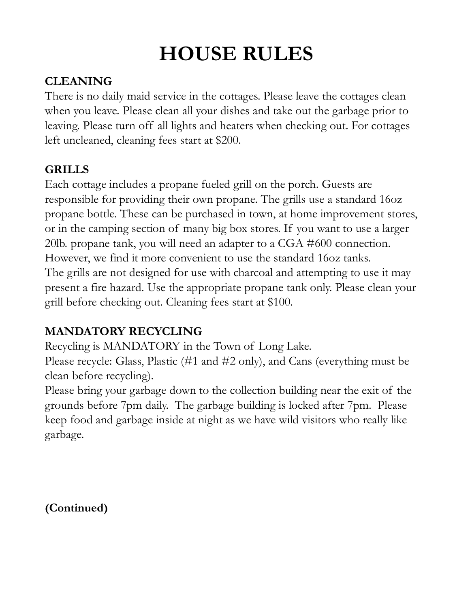# HOUSE RULES

# CLEANING

There is no daily maid service in the cottages. Please leave the cottages clean when you leave. Please clean all your dishes and take out the garbage prior to **HOUSE RULES**<br>CLEANING<br>There is no daily maid service in the cottages. Please leave the cottages clean<br>when you leave. Please tean all your dishes and take out the garbage prior to<br>leaving. Please turn off all lights and h left uncleaned, cleaning fees start at \$200.

# GRILLS

Each cottage includes a propane fueled grill on the porch. Guests are responsible for providing their own propane. The grills use a standard 16oz propane bottle. These can be purchased in town, at home improvement stores, **HOUSE RULES**<br> **CLEANING**<br>
There is no daily maid service in the cottages. Please leave the cottages clean<br>
when you leave. Please clean all your dishes and take out the garbage prior to<br>
leaving. Please turn off all light **ELEANING**<br>
There is no daily maid service in the cottages. Please leave the cottages clean<br>
when you leave. Please clean all your dishes and take out the garbage prior to<br>
leaving. Please turn off all lights and heaters w However, we find it more convenient to use the standard 16oz tanks. The grills are not designed for use with charcoal and attempting to use it may present a fire hazard. Use the appropriate propane tank only. Please clean your grill before checking out. Cleaning fees start at \$100. **GRILLS**<br> **Each** cottage includes a propane fueled grill on the porch. Guests are<br>
responsible for providing their own propane. The grills use a standard 16oz<br>
propane bottle. These can be purchased in town, at home improv repositions to revove the provided in town, at home in any compare bottle. These can be purchased in town, at home improvement stores, or in the camping section of many big box stores. If you want to use a larger 20lb. pro

# MANDATORY RECYCLING

Please recycle: Glass, Plastic (#1 and #2 only), and Cans (everything must be clean before recycling).

grounds before 7pm daily. The garbage building is locked after 7pm. Please keep food and garbage inside at night as we have wild visitors who really like garbage.

(Continued)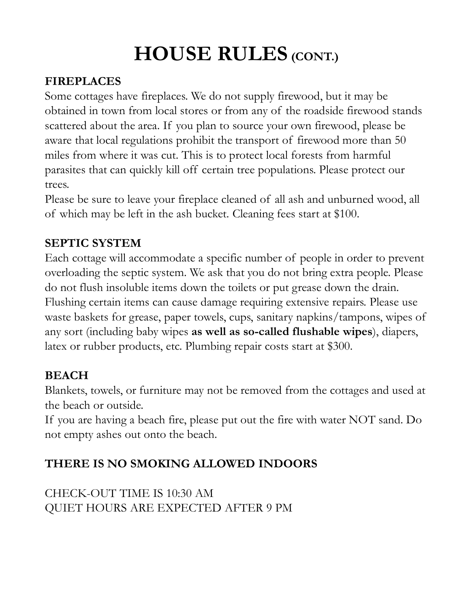# HOUSE RULES (CONT.)

# FIREPLACES

Some cottages have fireplaces. We do not supply firewood, but it may be **HOUSE RULES (CONT.)**<br>FIREPLACES<br>Some cottages have fireplaces. We do not supply firewood, but it may be<br>obtained in town from local stores or from any of the roadside firewood stands<br>scattered about the area. If you plan **HOUSE RULES (CONT.)**<br>FIREPLACES<br>Some cottages have fireplaces. We do not supply firewood, but it may be<br>obtained in town from local stores or from any of the roadside firewood stands<br>scattered about the area. If you plan **HOUSE RULES (CONT.)**<br>FIREPLACES<br>Some cottages have fireplaces. We do not supply firewood, but it may be<br>obtained in town from local stores or from any of the roadside firewood stands<br>scattered about the area. If you plan miles from where it was cut. This is to protect local forests from harmful **HOUSE RULES** (CONT.)<br>FIREPLACES<br>Some cottages have fireplaces. We do not supply firewood, but it may be<br>obtained in town from local stores or from any of the roadside firewood stands<br>scattered about the area. If you plan trees. **HOUSE RULES** (CONT.)<br>
FIREPLACES<br>
Some cottages have fireplaces. We do not supply firewood, but it may be<br>
obtained in town from local stores or from any of the roadside firewood stands<br>
scattered about the area. If you p **HOUSE RULES** (CONT.)<br>FIREPLACES<br>Some cottages have fireplaces. We do not supply firewood, but it may be<br>obtained in town from local stores or from any of the roadside firewood stan<br>scattered about the area. If you plan to FIREPLACES<br>
Some cottages have fireplaces. We do not supply firewood, but it may be<br>
obtained in town from local stores or from any of the roadside firewood stands<br>
scattered about the area. If you plan to source your own

## SEPTIC SYSTEM

overloading the septic system. We ask that you do not bring extra people. Please do not flush insoluble items down the toilets or put grease down the drain. Flushing certain items can cause damage requiring extensive repairs. Please use sexuative about are well are the transport of firewood more than 50 aware that local regulations prohibit the transport of firewood more than 50 miles from where it was cut. This is to protect local forests from harmful pa any sort (including baby wipes as well as so-called flushable wipes), diapers, mate transformation and the served of all ash and unburned versels.<br>
Please be sure to leave your fireplace cleaned of all ash and unburned wood, all<br>
of which may be left in the ash bucket. Cleaning fees start at \$100.<br> **SEPTIC SYSTEM**<br>
Each cottage will accommodate a specific number of people in order to prevent<br>
overloading the septic system. We ask that you do not bring extra people. Please<br>
do not flush insoluble items down the toilet

## BEACH

Blankets, towels, or furniture may not be removed from the cottages and used at the beach or outside.

not empty ashes out onto the beach.

## THERE IS NO SMOKING ALLOWED INDOORS

CHECK-OUT TIME IS 10:30 AM QUIET HOURS ARE EXPECTED AFTER 9 PM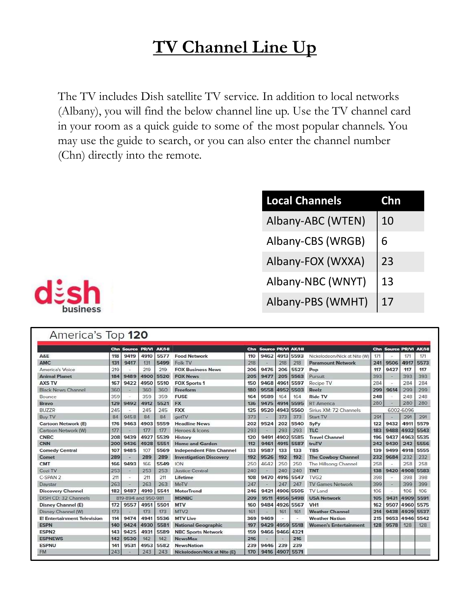# TV Channel Line Up

The TV includes Dish satellite TV service. In addition to local networks (Albany), you will find the below channel line up. Use the TV channel card **in your TV Channel Line Up**<br>The TV includes Dish satellite TV service. In addition to local networks<br>(Albany), you will find the below channel line up. Use the TV channel card<br>in your room as a quick guide to some of the may use the guide to search, or you can also enter the channel number (Chn) directly into the remote. **Commission Channel Channel Channel Channel Channel Channel Channel Channels.**<br> **Commission Channel Channels Channel Channels**<br> **Continued Channels**<br> **Continued Channels**<br> **Continued Channels**<br> **Commission Channel Channel** 

| <u>ine Up</u>                                                                                                                  |                                             |
|--------------------------------------------------------------------------------------------------------------------------------|---------------------------------------------|
| In addition to local networks<br>ne up. Use the TV channel card<br>he most popular channels. You<br>o enter the channel number |                                             |
| <b>Local Channels</b>                                                                                                          | Chn                                         |
| Albany-ABC (WTEN)                                                                                                              | 10                                          |
| Albany-CBS (WRGB)                                                                                                              | 6                                           |
| Albany-FOX (WXXA)                                                                                                              | 23                                          |
| Albany-NBC (WNYT)                                                                                                              | 13                                          |
| Albany-PBS (WMHT)                                                                                                              | 17                                          |
|                                                                                                                                |                                             |
| Source PR/VI<br><b>AK/H</b><br>9462 4913 5593<br>Nickelodeon/Nick at Nite (W)                                                  | Chn Source PR/VI AK/HI<br>171<br>171<br>171 |



|                             |     | Chn Source PR/VI    |      | <b>AK/HI</b> |                                 | Chn | <b>Source PR/VI AK/HI</b> |      |           |                              |     | Chn Source PR/VI AK/HI   |           |           |
|-----------------------------|-----|---------------------|------|--------------|---------------------------------|-----|---------------------------|------|-----------|------------------------------|-----|--------------------------|-----------|-----------|
| A&E                         | 118 | 9419                | 4910 | 5577         | <b>Food Network</b>             | 110 | 9462                      | 4913 | 5593      | Nickelodeon/Nick at Nite (W) | 171 |                          | 171       | 171       |
| <b>AMC</b>                  | 131 | 9417                | 131  | 5499         | Folk TV                         | 218 | $\overline{\phantom{a}}$  | 218  | 218       | <b>Paramount Network</b>     | 241 | 9506                     | 4917      | 5573      |
| America's Voice             | 219 |                     | 219  | 219          | <b>FOX Business News</b>        | 206 | 9476                      | 206  | 5527      | Pop                          | 117 | 9427                     | 117       | 117       |
| <b>Animal Planet</b>        | 184 | 9489                | 4900 | 5520         | <b>FOX News</b>                 | 205 | 9477                      | 205  | 5563      | Pursuit                      | 393 |                          | 393       | 393       |
| <b>AXS TV</b>               | 167 | 9422                | 4950 | 5510         | <b>FOX Sports 1</b>             | 150 | 9468                      | 4961 | 5597      | Recipe TV                    | 284 |                          | 284       | 284       |
| <b>Black News Channel</b>   | 360 | $\sim$              | 360  | 360          | Freeform                        | 180 | 9558                      | 4952 | 5503      | Reelz                        | 299 | 9614                     | 299       | 299       |
| Bounce                      | 359 |                     | 359  | 359          | <b>FUSE</b>                     | 164 | 9589                      | 164  | 164       | <b>Ride TV</b>               | 248 |                          | 248       | 248       |
| Bravo                       | 129 | 9492                | 4912 | 5521         | <b>FX</b>                       | 136 | 9475                      | 4914 | 5595      | <b>RT</b> America            | 280 | $\overline{\phantom{a}}$ | 280       | 280       |
| <b>BUZZR</b>                | 245 |                     | 245  | 245          | <b>FXX</b>                      | 125 | 9520                      | 4943 | 5560      | Sirius XM: 72 Channels       |     |                          | 6002-6096 |           |
| <b>Buy TV</b>               | 84  | 9458                | 84   | 84           | getTV                           | 373 |                           | 373  | 373       | Start TV                     | 291 |                          | 291       | 291       |
| <b>Cartoon Network (E)</b>  | 176 | 9463                | 4903 | 5559         | <b>Headline News</b>            | 202 | 9524                      | 202  | 5540      | SyFy                         | 122 | 9432                     | 4911      | 5579      |
| Cartoon Network (W)         | 177 |                     | 177  | 177          | Heroes & Icons                  | 293 |                           | 293  | 293       | <b>TLC</b>                   | 183 | 9488                     |           | 4932 5543 |
| <b>CNBC</b>                 | 208 | 9439                | 4927 | 5539         | History                         | 120 | 9491                      | 4902 | 5585      | <b>Travel Channel</b>        | 196 | 9437                     | 4963      | 5535      |
| CNN                         | 200 | 9436                | 4928 | 5551         | <b>Home and Garden</b>          | 112 | 9461                      | 4915 | 5587      | truTV                        | 242 | 9430                     | 242       | 5556      |
| <b>Comedy Central</b>       | 107 | 9485                | 107  | 5569         | <b>Independent Film Channel</b> | 133 | 9587                      | 133  | 133       | <b>TBS</b>                   | 139 | 9499                     | 4918      | 5555      |
| Comet                       | 289 | ÷                   | 289  | 289          | <b>Investigation Discovery</b>  | 192 | 9526                      | 192  | 192       | <b>The Cowboy Channel</b>    | 232 | 9684                     | 232       | 232       |
| <b>CMT</b>                  | 166 | 9493                | 166  | 5549         | <b>ION</b>                      | 250 | 4642                      | 250  | 250       | The Hillsong Channel         | 258 |                          | 258       | 258       |
| Cozi TV                     | 253 | $\leftarrow$        | 253  | 253          | <b>Justice Central</b>          | 240 |                           | 240  | 240       | <b>TNT</b>                   | 138 | 9420                     | 4908      | 5583      |
| C-SPAN 2                    | 211 |                     | 211  | 211          | Lifetime                        | 108 | 9470                      | 4916 | 5547      | TVG <sub>2</sub>             | 398 |                          | 398       | 398       |
| Daystar                     | 263 | ×                   | 263  | 263          | MeTV                            | 247 |                           | 247  | 247       | <b>TV Games Network</b>      | 399 | $\overline{\phantom{a}}$ | 399       | 399       |
| <b>Discovery Channel</b>    | 182 | 9487                | 4910 | 5541         | MotorTrend                      | 246 | 9421                      | 4906 | 5505      | TV Land                      | 106 |                          | 106       | 106       |
| DISH CD: 32 Channels        |     | 819-894 and 950-981 |      |              | <b>MSNBC</b>                    | 209 | 9511                      |      | 4956 5498 | <b>USA Network</b>           | 105 | 9431                     | 4909      | 5591      |
| <b>Disney Channel (E)</b>   | 172 | 9557                | 4951 | 5501         | <b>MTV</b>                      | 160 | 9484                      | 4926 | 5567      | VH <sub>1</sub>              | 162 | 9507                     | 4960      | 5575      |
| Disney Channel (W)          | 173 |                     | 173  | 173          | MTV <sub>2</sub>                | 161 |                           | 161  | 161       | <b>Weather Channel</b>       | 214 | 9438                     | 4929      | 5537      |
| E! Entertainment Television | 114 | 9474                | 4941 | 5536         | <b>MTV Live</b>                 | 369 | 9469                      |      |           | <b>Weather Nation</b>        | 215 | 9653                     | 4946      | 5542      |
| <b>ESPN</b>                 | 140 | 9424                | 4930 | 5581         | <b>National Geographic</b>      | 197 | 9429                      | 4959 | 5518      | <b>Women's Entertainment</b> | 128 | 9578                     | 128       | 128       |
| <b>ESPN2</b>                | 143 | 9425                | 4931 | 5589         | <b>NBC Sports Network</b>       | 159 | 9466                      | 9466 | 4321      |                              |     |                          |           |           |
| <b>ESPNEWS</b>              | 142 | 9530                | 142  | 142          | <b>NewsMax</b>                  | 216 |                           |      | 216       |                              |     |                          |           |           |
| <b>ESPNU</b>                | 141 | 9531                | 4953 | 5582         | <b>NewsNation</b>               | 239 | 9446                      | 239  | 239       |                              |     |                          |           |           |
| <b>FM</b>                   | 243 |                     | 243  | 243          | Nickelodeon/Nick at Nite (E)    | 170 | 9416                      | 4907 | 5571      |                              |     |                          |           |           |